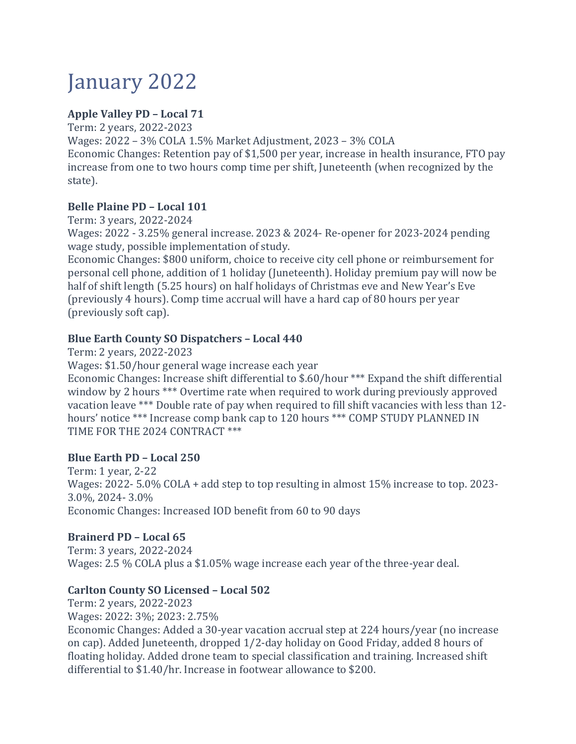# January 2022

# **Apple Valley PD – Local 71**

Term: 2 years, 2022-2023

Wages: 2022 – 3% COLA 1.5% Market Adjustment, 2023 – 3% COLA

Economic Changes: Retention pay of \$1,500 per year, increase in health insurance, FTO pay increase from one to two hours comp time per shift, Juneteenth (when recognized by the state).

# **Belle Plaine PD – Local 101**

Term: 3 years, 2022-2024

Wages: 2022 - 3.25% general increase. 2023 & 2024- Re-opener for 2023-2024 pending wage study, possible implementation of study.

Economic Changes: \$800 uniform, choice to receive city cell phone or reimbursement for personal cell phone, addition of 1 holiday (Juneteenth). Holiday premium pay will now be half of shift length (5.25 hours) on half holidays of Christmas eve and New Year's Eve (previously 4 hours). Comp time accrual will have a hard cap of 80 hours per year (previously soft cap).

# **Blue Earth County SO Dispatchers – Local 440**

Term: 2 years, 2022-2023

Wages: \$1.50/hour general wage increase each year

Economic Changes: Increase shift differential to \$.60/hour \*\*\* Expand the shift differential window by 2 hours \*\*\* Overtime rate when required to work during previously approved vacation leave \*\*\* Double rate of pay when required to fill shift vacancies with less than 12 hours' notice \*\*\* Increase comp bank cap to 120 hours \*\*\* COMP STUDY PLANNED IN TIME FOR THE 2024 CONTRACT \*\*\*

# **Blue Earth PD – Local 250**

Term: 1 year, 2-22 Wages: 2022- 5.0% COLA + add step to top resulting in almost 15% increase to top. 2023- 3.0%, 2024- 3.0% Economic Changes: Increased IOD benefit from 60 to 90 days

# **Brainerd PD – Local 65**

Term: 3 years, 2022-2024 Wages: 2.5 % COLA plus a \$1.05% wage increase each year of the three-year deal.

# **Carlton County SO Licensed – Local 502**

Term: 2 years, 2022-2023 Wages: 2022: 3%; 2023: 2.75% Economic Changes: Added a 30-year vacation accrual step at 224 hours/year (no increase on cap). Added Juneteenth, dropped 1/2-day holiday on Good Friday, added 8 hours of floating holiday. Added drone team to special classification and training. Increased shift differential to \$1.40/hr. Increase in footwear allowance to \$200.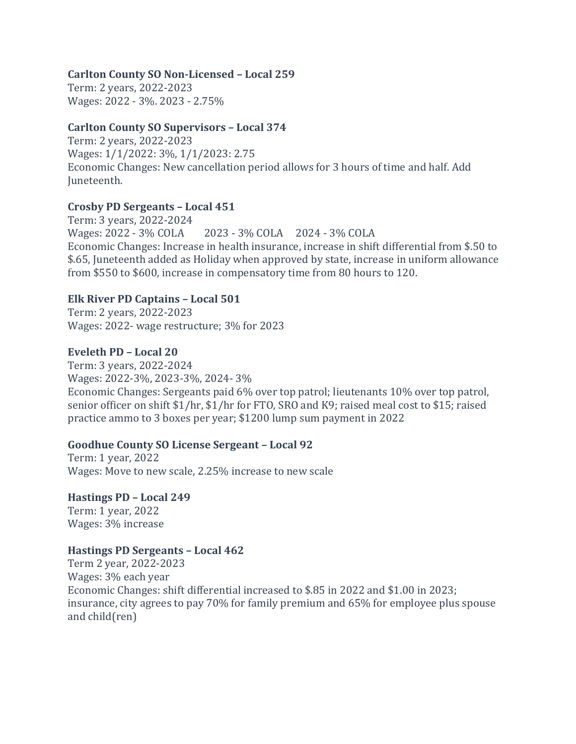#### **Carlton County SO Non-Licensed – Local 259**

Term: 2 years, 2022-2023 Wages: 2022 - 3%. 2023 - 2.75%

#### **Carlton County SO Supervisors – Local 374**

Term: 2 years, 2022-2023 Wages: 1/1/2022: 3%, 1/1/2023: 2.75 Economic Changes: New cancellation period allows for 3 hours of time and half. Add Juneteenth.

#### **Crosby PD Sergeants – Local 451**

Term: 3 years, 2022-2024 Wages: 2022 - 3% COLA 2023 - 3% COLA 2024 - 3% COLA Economic Changes: Increase in health insurance, increase in shift differential from \$.50 to \$.65, Juneteenth added as Holiday when approved by state, increase in uniform allowance from \$550 to \$600, increase in compensatory time from 80 hours to 120.

#### **Elk River PD Captains – Local 501**

Term: 2 years, 2022-2023 Wages: 2022- wage restructure; 3% for 2023

#### **Eveleth PD – Local 20**

Term: 3 years, 2022-2024 Wages: 2022-3%, 2023-3%, 2024- 3% Economic Changes: Sergeants paid 6% over top patrol; lieutenants 10% over top patrol, senior officer on shift \$1/hr, \$1/hr for FTO, SRO and K9; raised meal cost to \$15; raised practice ammo to 3 boxes per year; \$1200 lump sum payment in 2022

#### **Goodhue County SO License Sergeant – Local 92**

Term: 1 year, 2022 Wages: Move to new scale, 2.25% increase to new scale

**Hastings PD – Local 249** Term: 1 year, 2022 Wages: 3% increase

#### **Hastings PD Sergeants – Local 462**

Term 2 year, 2022-2023 Wages: 3% each year Economic Changes: shift differential increased to \$.85 in 2022 and \$1.00 in 2023; insurance, city agrees to pay 70% for family premium and 65% for employee plus spouse and child(ren)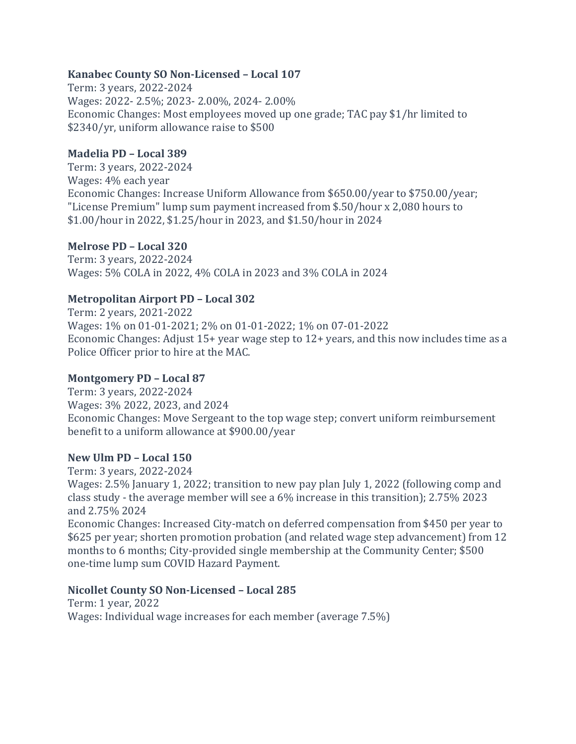#### **Kanabec County SO Non-Licensed – Local 107**

Term: 3 years, 2022-2024 Wages: 2022- 2.5%; 2023- 2.00%, 2024- 2.00% Economic Changes: Most employees moved up one grade; TAC pay \$1/hr limited to \$2340/yr, uniform allowance raise to \$500

# **Madelia PD – Local 389**

Term: 3 years, 2022-2024 Wages: 4% each year Economic Changes: Increase Uniform Allowance from \$650.00/year to \$750.00/year; "License Premium" lump sum payment increased from \$.50/hour x 2,080 hours to \$1.00/hour in 2022, \$1.25/hour in 2023, and \$1.50/hour in 2024

# **Melrose PD – Local 320**

Term: 3 years, 2022-2024 Wages: 5% COLA in 2022, 4% COLA in 2023 and 3% COLA in 2024

# **Metropolitan Airport PD – Local 302**

Term: 2 years, 2021-2022 Wages: 1% on 01-01-2021; 2% on 01-01-2022; 1% on 07-01-2022 Economic Changes: Adjust 15+ year wage step to 12+ years, and this now includes time as a Police Officer prior to hire at the MAC.

#### **Montgomery PD – Local 87**

Term: 3 years, 2022-2024 Wages: 3% 2022, 2023, and 2024 Economic Changes: Move Sergeant to the top wage step; convert uniform reimbursement benefit to a uniform allowance at \$900.00/year

#### **New Ulm PD – Local 150**

Term: 3 years, 2022-2024

Wages: 2.5% January 1, 2022; transition to new pay plan July 1, 2022 (following comp and class study - the average member will see a 6% increase in this transition); 2.75% 2023 and 2.75% 2024

Economic Changes: Increased City-match on deferred compensation from \$450 per year to \$625 per year; shorten promotion probation (and related wage step advancement) from 12 months to 6 months; City-provided single membership at the Community Center; \$500 one-time lump sum COVID Hazard Payment.

#### **Nicollet County SO Non-Licensed – Local 285**

Term: 1 year, 2022 Wages: Individual wage increases for each member (average 7.5%)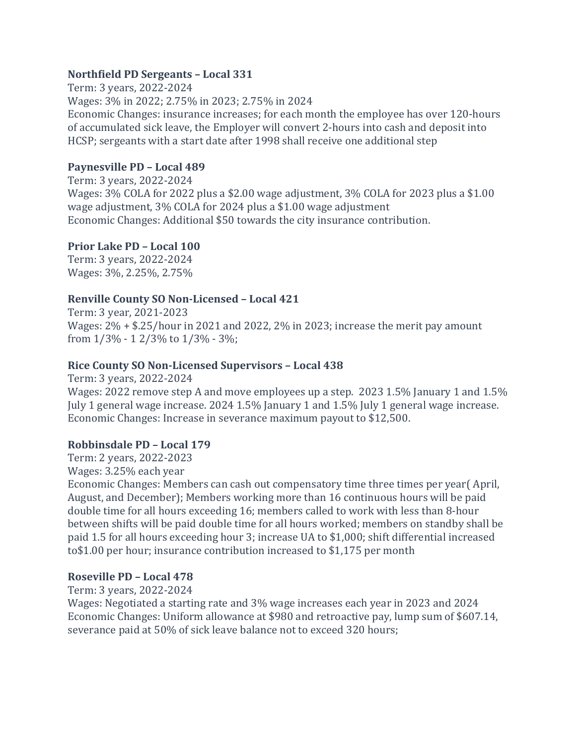#### **Northfield PD Sergeants – Local 331**

Term: 3 years, 2022-2024 Wages: 3% in 2022; 2.75% in 2023; 2.75% in 2024 Economic Changes: insurance increases; for each month the employee has over 120-hours of accumulated sick leave, the Employer will convert 2-hours into cash and deposit into HCSP; sergeants with a start date after 1998 shall receive one additional step

# **Paynesville PD – Local 489**

Term: 3 years, 2022-2024 Wages: 3% COLA for 2022 plus a \$2.00 wage adjustment, 3% COLA for 2023 plus a \$1.00 wage adjustment, 3% COLA for 2024 plus a \$1.00 wage adjustment Economic Changes: Additional \$50 towards the city insurance contribution.

# **Prior Lake PD – Local 100**

Term: 3 years, 2022-2024 Wages: 3%, 2.25%, 2.75%

# **Renville County SO Non-Licensed – Local 421**

Term: 3 year, 2021-2023 Wages: 2% + \$.25/hour in 2021 and 2022, 2% in 2023; increase the merit pay amount from 1/3% - 1 2/3% to 1/3% - 3%;

# **Rice County SO Non-Licensed Supervisors – Local 438**

Term: 3 years, 2022-2024 Wages: 2022 remove step A and move employees up a step. 2023 1.5% January 1 and 1.5% July 1 general wage increase. 2024 1.5% January 1 and 1.5% July 1 general wage increase. Economic Changes: Increase in severance maximum payout to \$12,500.

#### **Robbinsdale PD – Local 179**

Term: 2 years, 2022-2023

Wages: 3.25% each year

Economic Changes: Members can cash out compensatory time three times per year( April, August, and December); Members working more than 16 continuous hours will be paid double time for all hours exceeding 16; members called to work with less than 8-hour between shifts will be paid double time for all hours worked; members on standby shall be paid 1.5 for all hours exceeding hour 3; increase UA to \$1,000; shift differential increased to\$1.00 per hour; insurance contribution increased to \$1,175 per month

# **Roseville PD – Local 478**

Term: 3 years, 2022-2024

Wages: Negotiated a starting rate and 3% wage increases each year in 2023 and 2024 Economic Changes: Uniform allowance at \$980 and retroactive pay, lump sum of \$607.14, severance paid at 50% of sick leave balance not to exceed 320 hours;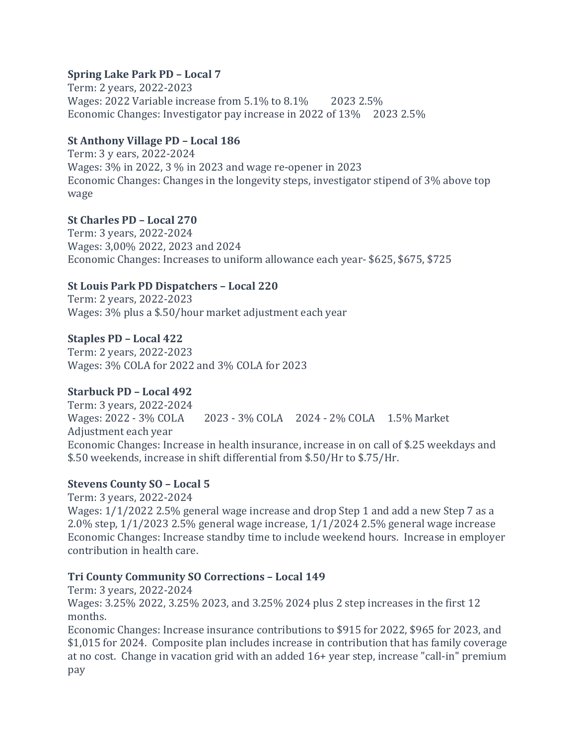# **Spring Lake Park PD – Local 7**

Term: 2 years, 2022-2023 Wages: 2022 Variable increase from 5.1% to 8.1% 2023 2.5% Economic Changes: Investigator pay increase in 2022 of 13% 2023 2.5%

# **St Anthony Village PD – Local 186**

Term: 3 y ears, 2022-2024 Wages: 3% in 2022, 3 % in 2023 and wage re-opener in 2023 Economic Changes: Changes in the longevity steps, investigator stipend of 3% above top wage

# **St Charles PD – Local 270**

Term: 3 years, 2022-2024 Wages: 3,00% 2022, 2023 and 2024 Economic Changes: Increases to uniform allowance each year- \$625, \$675, \$725

# **St Louis Park PD Dispatchers – Local 220**

Term: 2 years, 2022-2023 Wages: 3% plus a \$.50/hour market adjustment each year

# **Staples PD – Local 422**

Term: 2 years, 2022-2023 Wages: 3% COLA for 2022 and 3% COLA for 2023

#### **Starbuck PD – Local 492**

Term: 3 years, 2022-2024 Wages: 2022 - 3% COLA 2023 - 3% COLA 2024 - 2% COLA 1.5% Market Adjustment each year Economic Changes: Increase in health insurance, increase in on call of \$.25 weekdays and \$.50 weekends, increase in shift differential from \$.50/Hr to \$.75/Hr.

#### **Stevens County SO – Local 5**

Term: 3 years, 2022-2024 Wages: 1/1/2022 2.5% general wage increase and drop Step 1 and add a new Step 7 as a 2.0% step, 1/1/2023 2.5% general wage increase, 1/1/2024 2.5% general wage increase Economic Changes: Increase standby time to include weekend hours. Increase in employer contribution in health care.

#### **Tri County Community SO Corrections – Local 149**

Term: 3 years, 2022-2024 Wages: 3.25% 2022, 3.25% 2023, and 3.25% 2024 plus 2 step increases in the first 12 months.

Economic Changes: Increase insurance contributions to \$915 for 2022, \$965 for 2023, and \$1,015 for 2024. Composite plan includes increase in contribution that has family coverage at no cost. Change in vacation grid with an added 16+ year step, increase "call-in" premium pay